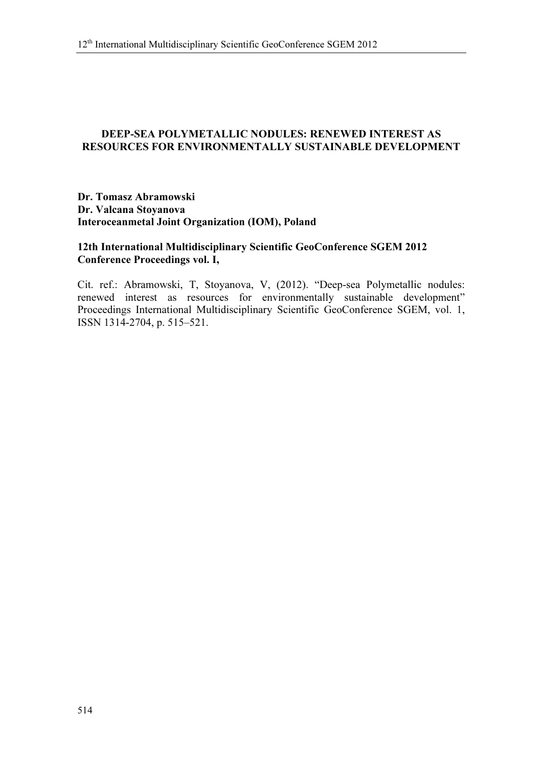## DEEP-SEA POLYMETALLIC NODULES: RENEWED INTEREST AS RESOURCES FOR ENVIRONMENTALLY SUSTAINABLE DEVELOPMENT

## Dr. Tomasz Abramowski Dr. Valcana Stoyanova Interoceanmetal Joint Organization (IOM), Poland

## 12th International Multidisciplinary Scientific GeoConference SGEM 2012 Conference Proceedings vol. I,

Cit. ref.: Abramowski, T, Stoyanova, V, (2012). "Deep-sea Polymetallic nodules: renewed interest as resources for environmentally sustainable development" Proceedings International Multidisciplinary Scientific GeoConference SGEM, vol. 1, ISSN 1314-2704, p. 515–521.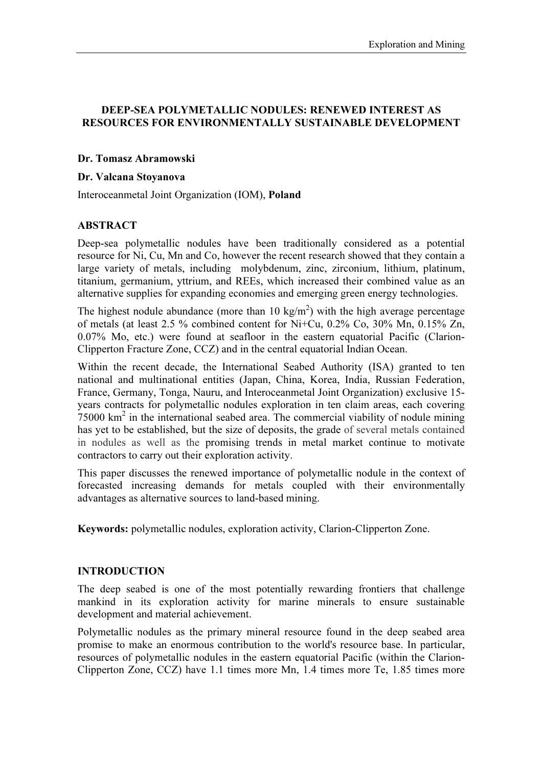## DEEP-SEA POLYMETALLIC NODULES: RENEWED INTEREST AS RESOURCES FOR ENVIRONMENTALLY SUSTAINABLE DEVELOPMENT

### Dr. Tomasz Abramowski

### Dr. Valcana Stoyanova

Interoceanmetal Joint Organization (IOM), Poland

### ABSTRACT

Deep-sea polymetallic nodules have been traditionally considered as a potential resource for Ni, Cu, Mn and Co, however the recent research showed that they contain a large variety of metals, including molybdenum, zinc, zirconium, lithium, platinum, titanium, germanium, yttrium, and REEs, which increased their combined value as an alternative supplies for expanding economies and emerging green energy technologies.

The highest nodule abundance (more than 10 kg/m<sup>2</sup>) with the high average percentage of metals (at least 2.5 % combined content for Ni+Cu,  $0.2\%$  Co,  $30\%$  Mn,  $0.15\%$  Zn, 0.07% Mo, etc.) were found at seafloor in the eastern equatorial Pacific (Clarion-Clipperton Fracture Zone, CCZ) and in the central equatorial Indian Ocean.

Within the recent decade, the International Seabed Authority (ISA) granted to ten national and multinational entities (Japan, China, Korea, India, Russian Federation, France, Germany, Tonga, Nauru, and Interoceanmetal Joint Organization) exclusive 15 years contracts for polymetallic nodules exploration in ten claim areas, each covering  $75000 \text{ km}^2$  in the international seabed area. The commercial viability of nodule mining has yet to be established, but the size of deposits, the grade of several metals contained in nodules as well as the promising trends in metal market continue to motivate contractors to carry out their exploration activity.

This paper discusses the renewed importance of polymetallic nodule in the context of forecasted increasing demands for metals coupled with their environmentally advantages as alternative sources to land-based mining.

Keywords: polymetallic nodules, exploration activity, Clarion-Clipperton Zone.

### INTRODUCTION

The deep seabed is one of the most potentially rewarding frontiers that challenge mankind in its exploration activity for marine minerals to ensure sustainable development and material achievement.

Polymetallic nodules as the primary mineral resource found in the deep seabed area promise to make an enormous contribution to the world's resource base. In particular, resources of polymetallic nodules in the eastern equatorial Pacific (within the Clarion-Clipperton Zone, CCZ) have 1.1 times more Mn, 1.4 times more Te, 1.85 times more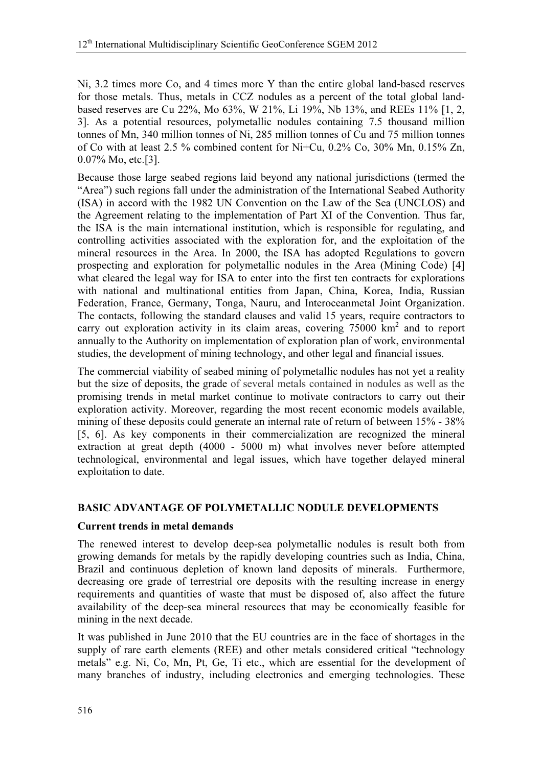Ni, 3.2 times more Co, and 4 times more Y than the entire global land-based reserves for those metals. Thus, metals in CCZ nodules as a percent of the total global land‐ based reserves are Cu 22%, Mo 63%, W 21%, Li 19%, Nb 13%, and REEs 11% [1, 2, 3]. As a potential resources, polymetallic nodules containing 7.5 thousand million tonnes of Mn, 340 million tonnes of Ni, 285 million tonnes of Cu and 75 million tonnes of Co with at least 2.5 % combined content for Ni+Cu, 0.2% Co, 30% Mn, 0.15% Zn, 0.07% Mo, etc.[3].

Because those large seabed regions laid beyond any national jurisdictions (termed the "Area") such regions fall under the administration of the International Seabed Authority (ISA) in accord with the 1982 UN Convention on the Law of the Sea (UNCLOS) and the Agreement relating to the implementation of Part XI of the Convention. Thus far, the ISA is the main international institution, which is responsible for regulating, and controlling activities associated with the exploration for, and the exploitation of the mineral resources in the Area. In 2000, the ISA has adopted Regulations to govern prospecting and exploration for polymetallic nodules in the Area (Mining Code) [4] what cleared the legal way for ISA to enter into the first ten contracts for explorations with national and multinational entities from Japan, China, Korea, India, Russian Federation, France, Germany, Tonga, Nauru, and Interoceanmetal Joint Organization. The contacts, following the standard clauses and valid 15 years, require contractors to carry out exploration activity in its claim areas, covering 75000 km<sup>2</sup> and to report annually to the Authority on implementation of exploration plan of work, environmental studies, the development of mining technology, and other legal and financial issues.

The commercial viability of seabed mining of polymetallic nodules has not yet a reality but the size of deposits, the grade of several metals contained in nodules as well as the promising trends in metal market continue to motivate contractors to carry out their exploration activity. Moreover, regarding the most recent economic models available, mining of these deposits could generate an internal rate of return of between 15% - 38% [5, 6]. As key components in their commercialization are recognized the mineral extraction at great depth (4000 - 5000 m) what involves never before attempted technological, environmental and legal issues, which have together delayed mineral exploitation to date.

# BASIC ADVANTAGE OF POLYMETALLIC NODULE DEVELOPMENTS

## Current trends in metal demands

The renewed interest to develop deep-sea polymetallic nodules is result both from growing demands for metals by the rapidly developing countries such as India, China, Brazil and continuous depletion of known land deposits of minerals. Furthermore, decreasing ore grade of terrestrial ore deposits with the resulting increase in energy requirements and quantities of waste that must be disposed of, also affect the future availability of the deep-sea mineral resources that may be economically feasible for mining in the next decade.

It was published in June 2010 that the EU countries are in the face of shortages in the supply of rare earth elements (REE) and other metals considered critical "technology metals" e.g. Ni, Co, Mn, Pt, Ge, Ti etc., which are essential for the development of many branches of industry, including electronics and emerging technologies. These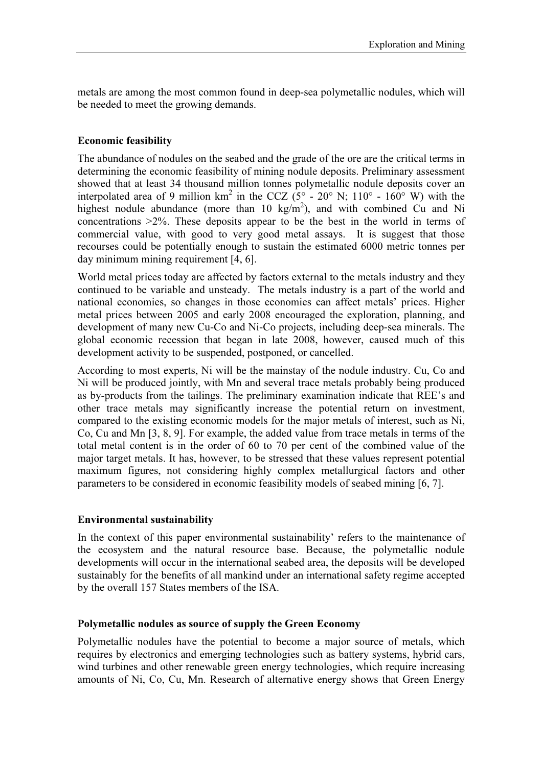metals are among the most common found in deep-sea polymetallic nodules, which will be needed to meet the growing demands.

## Economic feasibility

The abundance of nodules on the seabed and the grade of the ore are the critical terms in determining the economic feasibility of mining nodule deposits. Preliminary assessment showed that at least 34 thousand million tonnes polymetallic nodule deposits cover an interpolated area of 9 million km<sup>2</sup> in the CCZ ( $5^{\circ}$  - 20° N; 110° - 160° W) with the highest nodule abundance (more than 10 kg/m<sup>2</sup>), and with combined Cu and Ni concentrations >2%. These deposits appear to be the best in the world in terms of commercial value, with good to very good metal assays. It is suggest that those recourses could be potentially enough to sustain the estimated 6000 metric tonnes per day minimum mining requirement [4, 6].

World metal prices today are affected by factors external to the metals industry and they continued to be variable and unsteady. The metals industry is a part of the world and national economies, so changes in those economies can affect metals' prices. Higher metal prices between 2005 and early 2008 encouraged the exploration, planning, and development of many new Cu-Co and Ni-Co projects, including deep-sea minerals. The global economic recession that began in late 2008, however, caused much of this development activity to be suspended, postponed, or cancelled.

According to most experts, Ni will be the mainstay of the nodule industry. Cu, Co and Ni will be produced jointly, with Mn and several trace metals probably being produced as by-products from the tailings. The preliminary examination indicate that REE's and other trace metals may significantly increase the potential return on investment, compared to the existing economic models for the major metals of interest, such as Ni, Co, Cu and Mn [3, 8, 9]. For example, the added value from trace metals in terms of the total metal content is in the order of 60 to 70 per cent of the combined value of the major target metals. It has, however, to be stressed that these values represent potential maximum figures, not considering highly complex metallurgical factors and other parameters to be considered in economic feasibility models of seabed mining [6, 7].

### Environmental sustainability

In the context of this paper environmental sustainability' refers to the maintenance of the ecosystem and the natural resource base. Because, the polymetallic nodule developments will occur in the international seabed area, the deposits will be developed sustainably for the benefits of all mankind under an international safety regime accepted by the overall 157 States members of the ISA.

#### Polymetallic nodules as source of supply the Green Economy

Polymetallic nodules have the potential to become a major source of metals, which requires by electronics and emerging technologies such as battery systems, hybrid cars, wind turbines and other renewable green energy technologies, which require increasing amounts of Ni, Co, Cu, Mn. Research of alternative energy shows that Green Energy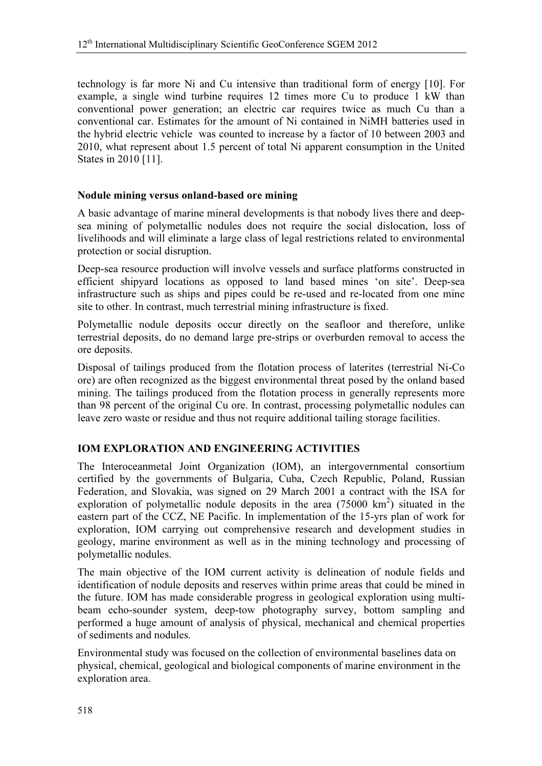technology is far more Ni and Cu intensive than traditional form of energy [10]. For example, a single wind turbine requires 12 times more Cu to produce 1 kW than conventional power generation; an electric car requires twice as much Cu than a conventional car. Estimates for the amount of Ni contained in NiMH batteries used in the hybrid electric vehicle was counted to increase by a factor of 10 between 2003 and 2010, what represent about 1.5 percent of total Ni apparent consumption in the United States in 2010 [11].

## Nodule mining versus onland-based ore mining

A basic advantage of marine mineral developments is that nobody lives there and deepsea mining of polymetallic nodules does not require the social dislocation, loss of livelihoods and will eliminate a large class of legal restrictions related to environmental protection or social disruption.

Deep-sea resource production will involve vessels and surface platforms constructed in efficient shipyard locations as opposed to land based mines 'on site'. Deep-sea infrastructure such as ships and pipes could be re-used and re-located from one mine site to other. In contrast, much terrestrial mining infrastructure is fixed.

Polymetallic nodule deposits occur directly on the seafloor and therefore, unlike terrestrial deposits, do no demand large pre-strips or overburden removal to access the ore deposits.

Disposal of tailings produced from the flotation process of laterites (terrestrial Ni-Co ore) are often recognized as the biggest environmental threat posed by the onland based mining. The tailings produced from the flotation process in generally represents more than 98 percent of the original Cu ore. In contrast, processing polymetallic nodules can leave zero waste or residue and thus not require additional tailing storage facilities.

## IOM EXPLORATION AND ENGINEERING ACTIVITIES

The Interoceanmetal Joint Organization (IOM), an intergovernmental consortium certified by the governments of Bulgaria, Cuba, Czech Republic, Poland, Russian Federation, and Slovakia, was signed on 29 March 2001 a contract with the ISA for exploration of polymetallic nodule deposits in the area  $(75000 \text{ km}^2)$  situated in the eastern part of the CCZ, NE Pacific. In implementation of the 15-yrs plan of work for exploration, IOM carrying out comprehensive research and development studies in geology, marine environment as well as in the mining technology and processing of polymetallic nodules.

The main objective of the IOM current activity is delineation of nodule fields and identification of nodule deposits and reserves within prime areas that could be mined in the future. IOM has made considerable progress in geological exploration using multibeam echo-sounder system, deep-tow photography survey, bottom sampling and performed a huge amount of analysis of physical, mechanical and chemical properties of sediments and nodules.

Environmental study was focused on the collection of environmental baselines data on physical, chemical, geological and biological components of marine environment in the exploration area.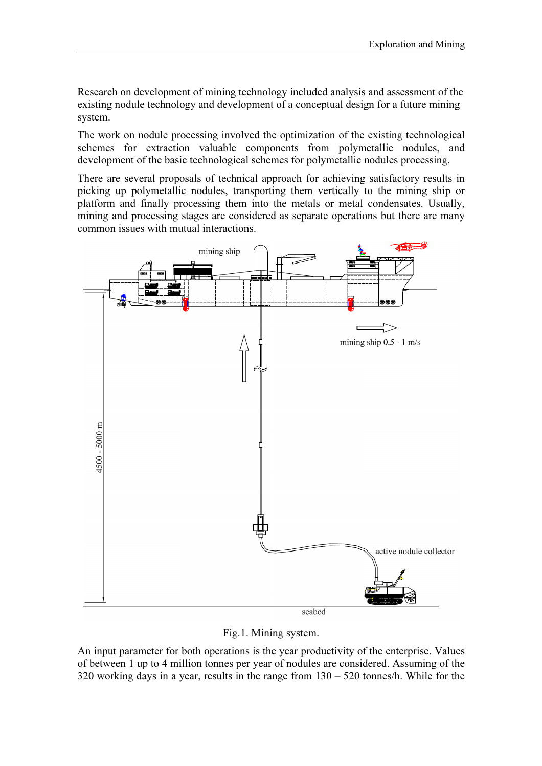Research on development of mining technology included analysis and assessment of the existing nodule technology and development of a conceptual design for a future mining system.

The work on nodule processing involved the optimization of the existing technological schemes for extraction valuable components from polymetallic nodules, and development of the basic technological schemes for polymetallic nodules processing.

There are several proposals of technical approach for achieving satisfactory results in picking up polymetallic nodules, transporting them vertically to the mining ship or platform and finally processing them into the metals or metal condensates. Usually, mining and processing stages are considered as separate operations but there are many common issues with mutual interactions.



Fig.1. Mining system.

An input parameter for both operations is the year productivity of the enterprise. Values of between 1 up to 4 million tonnes per year of nodules are considered. Assuming of the 320 working days in a year, results in the range from 130 – 520 tonnes/h. While for the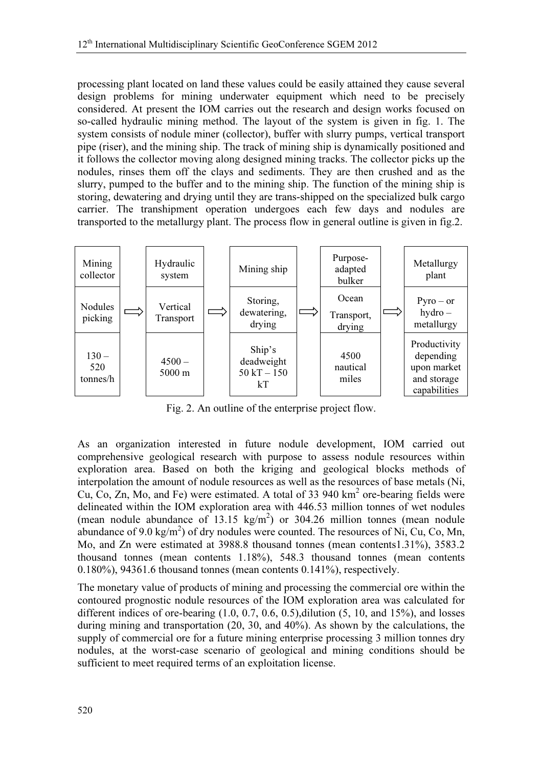processing plant located on land these values could be easily attained they cause several design problems for mining underwater equipment which need to be precisely considered. At present the IOM carries out the research and design works focused on so-called hydraulic mining method. The layout of the system is given in fig. 1. The system consists of nodule miner (collector), buffer with slurry pumps, vertical transport pipe (riser), and the mining ship. The track of mining ship is dynamically positioned and it follows the collector moving along designed mining tracks. The collector picks up the nodules, rinses them off the clays and sediments. They are then crushed and as the slurry, pumped to the buffer and to the mining ship. The function of the mining ship is storing, dewatering and drying until they are trans-shipped on the specialized bulk cargo carrier. The transhipment operation undergoes each few days and nodules are transported to the metallurgy plant. The process flow in general outline is given in fig.2.



Fig. 2. An outline of the enterprise project flow.

As an organization interested in future nodule development, IOM carried out comprehensive geological research with purpose to assess nodule resources within exploration area. Based on both the kriging and geological blocks methods of interpolation the amount of nodule resources as well as the resources of base metals (Ni, Cu, Co, Zn, Mo, and Fe) were estimated. A total of 33 940  $\text{km}^2$  ore-bearing fields were delineated within the IOM exploration area with 446.53 million tonnes of wet nodules (mean nodule abundance of 13.15  $\text{kg/m}^2$ ) or 304.26 million tonnes (mean nodule abundance of 9.0 kg/m<sup>2</sup>) of dry nodules were counted. The resources of Ni, Cu, Co, Mn, Mo, and Zn were estimated at 3988.8 thousand tonnes (mean contents1.31%), 3583.2 thousand tonnes (mean contents 1.18%), 548.3 thousand tonnes (mean contents 0.180%), 94361.6 thousand tonnes (mean contents 0.141%), respectively.

The monetary value of products of mining and processing the commercial ore within the contoured prognostic nodule resources of the IOM exploration area was calculated for different indices of ore-bearing  $(1.0, 0.7, 0.6, 0.5)$ , dilution  $(5, 10, \text{ and } 15\%)$ , and losses during mining and transportation (20, 30, and 40%). As shown by the calculations, the supply of commercial ore for a future mining enterprise processing 3 million tonnes dry nodules, at the worst-case scenario of geological and mining conditions should be sufficient to meet required terms of an exploitation license.